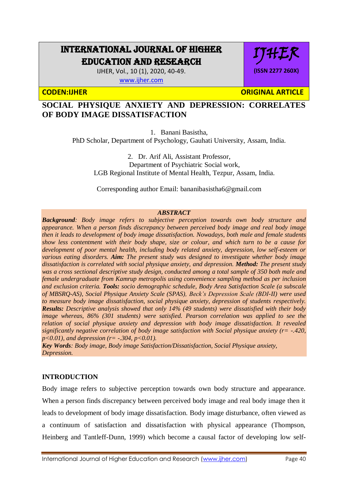# INTERNATIONAL JOURNAL OF HIGHER EDUCATION AND RESEARCH

IJHER, Vol., 10 (1), 2020, 40-49.

[www.ijher.com](http://www.ijher.com/)

IJHER **(ISSN 2277 260X)**

**CODEN:IJHER CODEN:IJHER** ORIGINAL ARTICLE

# **SOCIAL PHYSIQUE ANXIETY AND DEPRESSION: CORRELATES OF BODY IMAGE DISSATISFACTION**

1. Banani Basistha,

PhD Scholar, Department of Psychology, Gauhati University, Assam, India.

2. Dr. Arif Ali, Assistant Professor, Department of Psychiatric Social work, LGB Regional Institute of Mental Health, Tezpur, Assam, India.

Corresponding author Email: [bananibasistha6@gmail.com](mailto:bananibasistha6@gmail.com)

#### *ABSTRACT*

*Background: Body image refers to subjective perception towards own body structure and appearance. When a person finds discrepancy between perceived body image and real body image then it leads to development of body image dissatisfaction. Nowadays, both male and female students show less contentment with their body shape, size or colour, and which turn to be a cause for development of poor mental health, including body related anxiety, depression, low self-esteem or various eating disorders. Aim: The present study was designed to investigate whether body image dissatisfaction is correlated with social physique anxiety, and depression. Method: The present study was a cross sectional descriptive study design, conducted among a total sample of 350 both male and female undergraduate from Kamrup metropolis using convenience sampling method as per inclusion and exclusion criteria. Tools: socio demographic schedule, Body Area Satisfaction Scale (a subscale of MBSRQ-AS), Social Physique Anxiety Scale (SPAS), Beck's Depression Scale (BDI-II) were used to measure body image dissatisfaction, social physique anxiety, depression of students respectively. Results: Descriptive analysis showed that only 14% (49 students) were dissatisfied with their body image whereas, 86% (301 students) were satisfied. Pearson correlation was applied to see the relation of social physique anxiety and depression with body image dissatisfaction. It revealed significantly negative correlation of body image satisfaction with Social physique anxiety (r= -.420, p*<0.01), and depression (r= -.304, p<0.01).

*Key Words: Body image, Body image Satisfaction/Dissatisfaction, Social Physique anxiety, Depression.*

# **INTRODUCTION**

Body image refers to subjective perception towards own body structure and appearance. When a person finds discrepancy between perceived body image and real body image then it leads to development of body image dissatisfaction. Body image disturbance, often viewed as a continuum of satisfaction and dissatisfaction with physical appearance (Thompson, Heinberg and Tantleff-Dunn, 1999) which become a causal factor of developing low self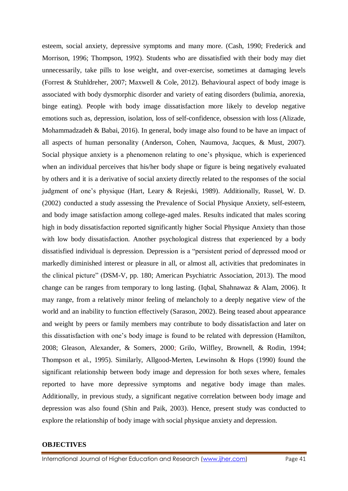esteem, social anxiety, depressive symptoms and many more. (Cash, 1990; Frederick and Morrison, 1996; Thompson, 1992). Students who are dissatisfied with their body may diet unnecessarily, take pills to lose weight, and over-exercise, sometimes at damaging levels (Forrest & Stuhldreher, 2007; Maxwell & Cole, 2012). Behavioural aspect of body image is associated with body dysmorphic disorder and variety of eating disorders (bulimia, anorexia, binge eating). People with body image dissatisfaction more likely to develop negative emotions such as, depression, isolation, loss of self-confidence, obsession with loss (Alizade, Mohammadzadeh & Babai, 2016). In general, body image also found to be have an impact of all aspects of human personality (Anderson, Cohen, Naumova, Jacques, & Must, 2007). Social physique anxiety is a phenomenon relating to one's physique, which is experienced when an individual perceives that his/her body shape or figure is being negatively evaluated by others and it is a derivative of social anxiety directly related to the responses of the social judgment of one's physique (Hart, Leary & Rejeski, 1989). Additionally, Russel, W. D. (2002) conducted a study assessing the Prevalence of Social Physique Anxiety, self-esteem, and body image satisfaction among college-aged males. Results indicated that males scoring high in body dissatisfaction reported significantly higher Social Physique Anxiety than those with low body dissatisfaction. Another psychological distress that experienced by a body dissatisfied individual is depression. Depression is a "persistent period of depressed mood or markedly diminished interest or pleasure in all, or almost all, activities that predominates in the clinical picture" (DSM-V, pp. 180; American Psychiatric Association, 2013). The mood change can be ranges from temporary to long lasting. (Iqbal, Shahnawaz & Alam, 2006). It may range, from a relatively minor feeling of melancholy to a deeply negative view of the world and an inability to function effectively (Sarason, 2002). Being teased about appearance and weight by peers or family members may contribute to body dissatisfaction and later on this dissatisfaction with one's body image is found to be related with depression (Hamilton, 2008; Gleason, Alexander, & Somers, 2000; Grilo, Wilfley, Brownell, & Rodin, 1994; Thompson et al., 1995). Similarly, Allgood-Merten, Lewinsohn & Hops (1990) found the significant relationship between body image and depression for both sexes where, females reported to have more depressive symptoms and negative body image than males. Additionally, in previous study, a significant negative correlation between body image and depression was also found (Shin and Paik, 2003). Hence, present study was conducted to explore the relationship of body image with social physique anxiety and depression.

#### **OBJECTIVES**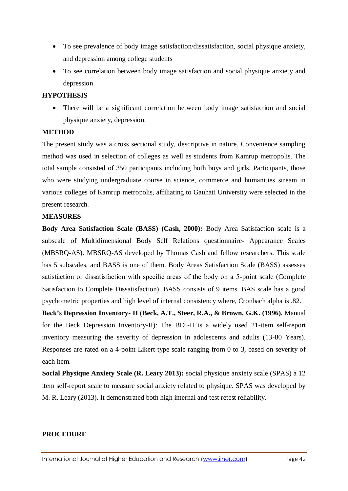- To see prevalence of body image satisfaction/dissatisfaction, social physique anxiety, and depression among college students
- To see correlation between body image satisfaction and social physique anxiety and depression

#### **HYPOTHESIS**

 There will be a significant correlation between body image satisfaction and social physique anxiety, depression.

### **METHOD**

The present study was a cross sectional study, descriptive in nature. Convenience sampling method was used in selection of colleges as well as students from Kamrup metropolis. The total sample consisted of 350 participants including both boys and girls. Participants, those who were studying undergraduate course in science, commerce and humanities stream in various colleges of Kamrup metropolis, affiliating to Gauhati University were selected in the present research.

#### **MEASURES**

**Body Area Satisfaction Scale (BASS) (Cash, 2000):** Body Area Satisfaction scale is a subscale of Multidimensional Body Self Relations questionnaire- Appearance Scales (MBSRQ-AS). MBSRQ-AS developed by Thomas Cash and fellow researchers. This scale has 5 subscales, and BASS is one of them. Body Areas Satisfaction Scale (BASS) assesses satisfaction or dissatisfaction with specific areas of the body on a 5-point scale (Complete Satisfaction to Complete Dissatisfaction). BASS consists of 9 items. BAS scale has a good psychometric properties and high level of internal consistency where, Cronbach alpha is .82.

**Beck's Depression Inventory- II (Beck, A.T., Steer, R.A., & Brown, G.K. (1996).** Manual for the Beck Depression Inventory-II): The BDI-II is a widely used 21-item self-report inventory measuring the severity of depression in adolescents and adults (13-80 Years). Responses are rated on a 4-point Likert-type scale ranging from 0 to 3, based on severity of each item.

**Social Physique Anxiety Scale (R. Leary 2013):** social physique anxiety scale (SPAS) a 12 item self-report scale to measure social anxiety related to physique. SPAS was developed by M. R. Leary (2013). It demonstrated both high internal and test retest reliability.

# **PROCEDURE**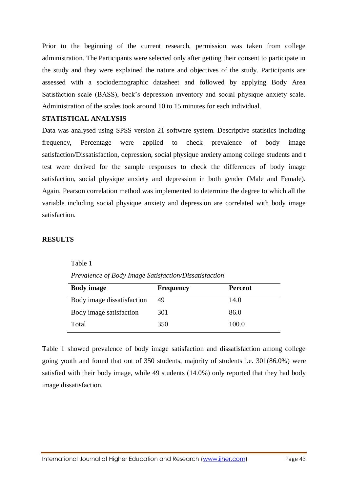Prior to the beginning of the current research, permission was taken from college administration. The Participants were selected only after getting their consent to participate in the study and they were explained the nature and objectives of the study. Participants are assessed with a sociodemographic datasheet and followed by applying Body Area Satisfaction scale (BASS), beck's depression inventory and social physique anxiety scale. Administration of the scales took around 10 to 15 minutes for each individual.

# **STATISTICAL ANALYSIS**

Data was analysed using SPSS version 21 software system. Descriptive statistics including frequency, Percentage were applied to check prevalence of body image satisfaction/Dissatisfaction, depression, social physique anxiety among college students and t test were derived for the sample responses to check the differences of body image satisfaction, social physique anxiety and depression in both gender (Male and Female). Again, Pearson correlation method was implemented to determine the degree to which all the variable including social physique anxiety and depression are correlated with body image satisfaction.

### **RESULTS**

Table 1

| <b>Body</b> image          | <b>Frequency</b> | <b>Percent</b> |
|----------------------------|------------------|----------------|
| Body image dissatisfaction | 49               | 14.0           |
| Body image satisfaction    | 301              | 86.0           |
| Total                      | 350              | 100.0          |

*Prevalence of Body Image Satisfaction/Dissatisfaction*

Table 1 showed prevalence of body image satisfaction and dissatisfaction among college going youth and found that out of 350 students, majority of students i.e. 301(86.0%) were satisfied with their body image, while 49 students (14.0%) only reported that they had body image dissatisfaction.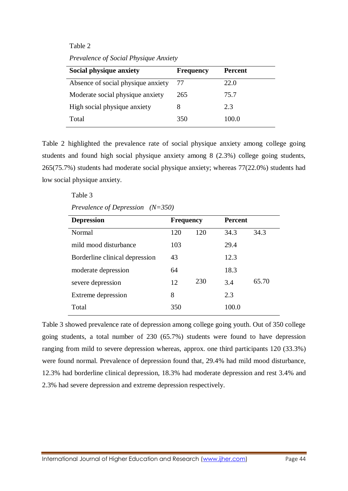#### Table 2

*Prevalence of Social Physique Anxiety*

| Social physique anxiety            | <b>Frequency</b> | <b>Percent</b> |
|------------------------------------|------------------|----------------|
| Absence of social physique anxiety | 77               | 22.0           |
| Moderate social physique anxiety   | 265              | 75.7           |
| High social physique anxiety       | 8                | 2.3            |
| Total                              | 350              | 100.0          |

Table 2 highlighted the prevalence rate of social physique anxiety among college going students and found high social physique anxiety among 8 (2.3%) college going students, 265(75.7%) students had moderate social physique anxiety; whereas 77(22.0%) students had low social physique anxiety.

> Table 3 *Prevalence of Depression (N=350)*

| <b>Depression</b>              | <b>Frequency</b> |     | <b>Percent</b> |       |
|--------------------------------|------------------|-----|----------------|-------|
| Normal                         | 120              | 120 | 34.3           | 34.3  |
| mild mood disturbance          | 103              |     | 29.4           |       |
| Borderline clinical depression | 43               |     | 12.3           |       |
| moderate depression            | 64               |     | 18.3           |       |
| severe depression              | 12               | 230 | 3.4            | 65.70 |
| Extreme depression             | 8                |     | 2.3            |       |
| Total                          | 350              |     | 100.0          |       |

Table 3 showed prevalence rate of depression among college going youth. Out of 350 college going students, a total number of 230 (65.7%) students were found to have depression ranging from mild to severe depression whereas, approx. one third participants 120 (33.3%) were found normal. Prevalence of depression found that, 29.4% had mild mood disturbance, 12.3% had borderline clinical depression, 18.3% had moderate depression and rest 3.4% and 2.3% had severe depression and extreme depression respectively.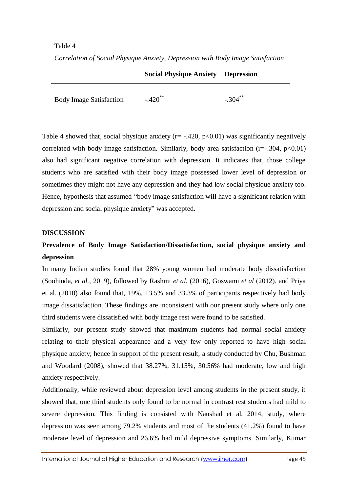#### Table 4

*Correlation of Social Physique Anxiety, Depression with Body Image Satisfaction*

|                                | <b>Social Physique Anxiety Depression</b> |            |
|--------------------------------|-------------------------------------------|------------|
| <b>Body Image Satisfaction</b> | $-.420$ <sup>**</sup>                     | $-.304$ ** |

Table 4 showed that, social physique anxiety ( $r = -.420$ ,  $p < 0.01$ ) was significantly negatively correlated with body image satisfaction. Similarly, body area satisfaction  $(r=-.304, p<0.01)$ also had significant negative correlation with depression. It indicates that, those college students who are satisfied with their body image possessed lower level of depression or sometimes they might not have any depression and they had low social physique anxiety too. Hence, hypothesis that assumed "body image satisfaction will have a significant relation with depression and social physique anxiety" was accepted.

#### **DISCUSSION**

# **Prevalence of Body Image Satisfaction/Dissatisfaction, social physique anxiety and depression**

In many Indian studies found that 28% young women had moderate body dissatisfaction (Soohinda, *et al.*, 2019), followed by Rashmi *et al.* (2016), Goswami *et al* (2012). and Priya et al. (2010) also found that, 19%, 13.5% and 33.3% of participants respectively had body image dissatisfaction. These findings are inconsistent with our present study where only one third students were dissatisfied with body image rest were found to be satisfied.

Similarly, our present study showed that maximum students had normal social anxiety relating to their physical appearance and a very few only reported to have high social physique anxiety; hence in support of the present result, a study conducted by Chu, Bushman and Woodard (2008), showed that 38.27%, 31.15%, 30.56% had moderate, low and high anxiety respectively.

Additionally, while reviewed about depression level among students in the present study, it showed that, one third students only found to be normal in contrast rest students had mild to severe depression. This finding is consisted with Naushad et al. 2014, study, where depression was seen among 79.2% students and most of the students (41.2%) found to have moderate level of depression and 26.6% had mild depressive symptoms. Similarly, Kumar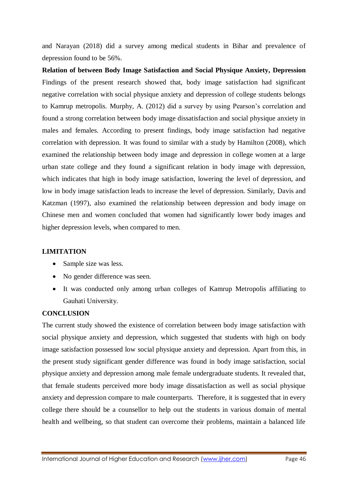and Narayan (2018) did a survey among medical students in Bihar and prevalence of depression found to be 56%.

**Relation of between Body Image Satisfaction and Social Physique Anxiety, Depression** Findings of the present research showed that, body image satisfaction had significant negative correlation with social physique anxiety and depression of college students belongs to Kamrup metropolis. Murphy, A. (2012) did a survey by using Pearson's correlation and found a strong correlation between body image dissatisfaction and social physique anxiety in males and females. According to present findings, body image satisfaction had negative correlation with depression. It was found to similar with a study by Hamilton (2008), which examined the relationship between body image and depression in college women at a large urban state college and they found a significant relation in body image with depression, which indicates that high in body image satisfaction, lowering the level of depression, and low in body image satisfaction leads to increase the level of depression. Similarly, Davis and Katzman (1997), also examined the relationship between depression and body image on Chinese men and women concluded that women had significantly lower body images and higher depression levels, when compared to men.

# **LIMITATION**

- Sample size was less.
- No gender difference was seen.
- It was conducted only among urban colleges of Kamrup Metropolis affiliating to Gauhati University.

# **CONCLUSION**

The current study showed the existence of correlation between body image satisfaction with social physique anxiety and depression, which suggested that students with high on body image satisfaction possessed low social physique anxiety and depression. Apart from this, in the present study significant gender difference was found in body image satisfaction, social physique anxiety and depression among male female undergraduate students. It revealed that, that female students perceived more body image dissatisfaction as well as social physique anxiety and depression compare to male counterparts. Therefore, it is suggested that in every college there should be a counsellor to help out the students in various domain of mental health and wellbeing, so that student can overcome their problems, maintain a balanced life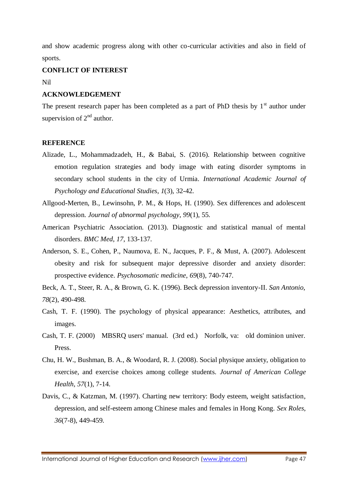and show academic progress along with other co-curricular activities and also in field of sports.

#### **CONFLICT OF INTEREST**

Nil

#### **ACKNOWLEDGEMENT**

The present research paper has been completed as a part of PhD thesis by  $1<sup>st</sup>$  author under supervision of  $2<sup>nd</sup>$  author.

#### **REFERENCE**

- Alizade, L., Mohammadzadeh, H., & Babai, S. (2016). Relationship between cognitive emotion regulation strategies and body image with eating disorder symptoms in secondary school students in the city of Urmia. *International Academic Journal of Psychology and Educational Studies*, *1*(3), 32-42.
- Allgood-Merten, B., Lewinsohn, P. M., & Hops, H. (1990). Sex differences and adolescent depression. *Journal of abnormal psychology*, *99*(1), 55.
- American Psychiatric Association. (2013). Diagnostic and statistical manual of mental disorders. *BMC Med*, *17*, 133-137.
- Anderson, S. E., Cohen, P., Naumova, E. N., Jacques, P. F., & Must, A. (2007). Adolescent obesity and risk for subsequent major depressive disorder and anxiety disorder: prospective evidence. *Psychosomatic medicine*, *69*(8), 740-747.

Beck, A. T., Steer, R. A., & Brown, G. K. (1996). Beck depression inventory-II. *San Antonio*, *78*(2), 490-498.

- Cash, T. F. (1990). The psychology of physical appearance: Aesthetics, attributes, and images.
- Cash, T. F. (2000) MBSRQ users' manual. (3rd ed.) Norfolk, va: old dominion univer. Press.
- Chu, H. W., Bushman, B. A., & Woodard, R. J. (2008). Social physique anxiety, obligation to exercise, and exercise choices among college students. *Journal of American College Health*, *57*(1), 7-14.
- Davis, C., & Katzman, M. (1997). Charting new territory: Body esteem, weight satisfaction, depression, and self-esteem among Chinese males and females in Hong Kong. *Sex Roles*, *36*(7-8), 449-459.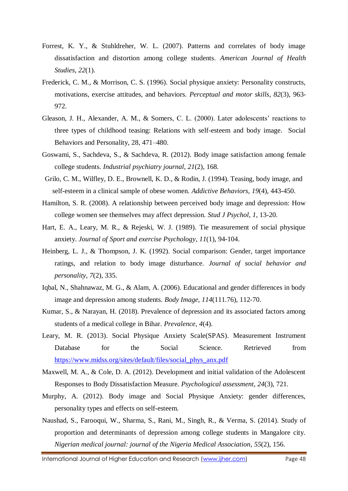- Forrest, K. Y., & Stuhldreher, W. L. (2007). Patterns and correlates of body image dissatisfaction and distortion among college students. *American Journal of Health Studies*, *22*(1).
- Frederick, C. M., & Morrison, C. S. (1996). Social physique anxiety: Personality constructs, motivations, exercise attitudes, and behaviors. *Perceptual and motor skills*, *82*(3), 963- 972.
- Gleason, J. H., Alexander, A. M., & Somers, C. L. (2000). Later adolescents' reactions to three types of childhood teasing: Relations with self-esteem and body image. Social Behaviors and Personality, 28, 471–480.
- Goswami, S., Sachdeva, S., & Sachdeva, R. (2012). Body image satisfaction among female college students. *Industrial psychiatry journal*, *21*(2), 168.
- Grilo, C. M., Wilfley, D. E., Brownell, K. D., & Rodin, J. (1994). Teasing, body image, and self-esteem in a clinical sample of obese women. *Addictive Behaviors*, *19*(4), 443-450.
- Hamilton, S. R. (2008). A relationship between perceived body image and depression: How college women see themselves may affect depression. *Stud J Psychol*, *1*, 13-20.
- Hart, E. A., Leary, M. R., & Rejeski, W. J. (1989). Tie measurement of social physique anxiety. *Journal of Sport and exercise Psychology*, *11*(1), 94-104.
- Heinberg, L. J., & Thompson, J. K. (1992). Social comparison: Gender, target importance ratings, and relation to body image disturbance. *Journal of social behavior and personality*, *7*(2), 335.
- Iqbal, N., Shahnawaz, M. G., & Alam, A. (2006). Educational and gender differences in body image and depression among students. *Body Image*, *114*(111.76), 112-70.
- Kumar, S., & Narayan, H. (2018). Prevalence of depression and its associated factors among students of a medical college in Bihar. *Prevalence*, *4*(4).
- Leary, M. R. (2013). Social Physique Anxiety Scale(SPAS). Measurement Instrument Database for the Social Science. Retrieved from [https://www.midss.org/sites/default/files/social\\_phys\\_anx.pdf](https://www.midss.org/sites/default/files/social_phys_anx.pdf)
- Maxwell, M. A., & Cole, D. A. (2012). Development and initial validation of the Adolescent Responses to Body Dissatisfaction Measure. *Psychological assessment*, *24*(3), 721.
- Murphy, A. (2012). Body image and Social Physique Anxiety: gender differences, personality types and effects on self-esteem.
- Naushad, S., Farooqui, W., Sharma, S., Rani, M., Singh, R., & Verma, S. (2014). Study of proportion and determinants of depression among college students in Mangalore city. *Nigerian medical journal: journal of the Nigeria Medical Association*, *55*(2), 156.

International Journal of Higher Education and Research (www.ijher.com) Page 48